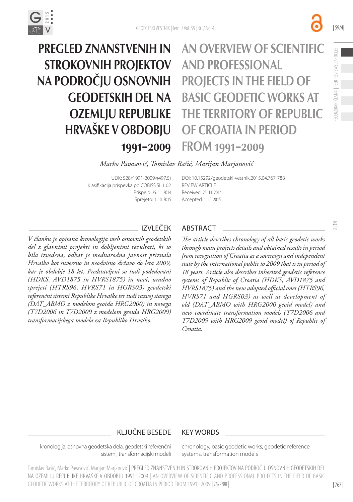

PREGLED ZNANSTVENIH IN STROKOVNIH PROJEKTOV NA PODROČJU OSNOVNIH GEODETSKIH DEL NA OZEMLJU REPUBLIKE HRVAŠKE V OBDOBJU 1991–2009 AN OVERVIEW OF SCIENTIFIC AND PROFESSIONAL PROJECTS IN THE FIELD OF BASIC GEODETIC WORKS AT THE TERRITORY OF REPUBLIC OF CROATIA IN PERIOD FROM 1991–2009

 $\leq$ 

| 59/4|

#### *Marko Pavasović, Tomislav Bašić, Marijan Marjanović*

UDK: 528«1991-2009«(497.5) Klasifikacija prispevka po COBISS.SI: 1.02 Prispelo: 25. 11. 2014 Sprejeto: 1. 10. 2015 [DOI:](http://dx.doi.org/10.15292/geodetski-vestnik.2014.02.314-326) [10.15292/geodetski-vestnik.2015.04.767-788](http://dx.doi.org/10.15292/geodetski-vestnik.2015.04.767-788) **REVIEW ARTICLE** Received: 25. 11. 2014 Accepted: 1. 10. 2015

*V članku je opisana kronologija vseh osnovnih geodetskih del z glavnimi projekti in dobljenimi rezultati, ki so bila izvedena, odkar je mednarodna javnost priznala Hrvaško kot suvereno in neodvisno državo do leta 2009, kar je obdobje 18 let. Predstavljeni so tudi podedovani (HDKS, AVD1875 in HVRS1875) in novi, uradno sprejeti (HTRS96, HVRS71 in HGRS03) geodetski referenčni sistemi Republike Hrvaške ter tudi razvoj starega (DAT\_ABMO z modelom geoida HRG2000) in novega (T7D2006 in T7D2009 z modelom geoida HRG2009) transformacijskega modela za Republiko Hrvaško.*

### IZVLEČEK ABSTRACT

*The article describes chronology of all basic geodetic works through main projects details and obtained results in period from recognition of Croatia as a sovereign and independent state by the international public to 2009 that is in period of 18 years. Article also describes inherited geodetic reference systems of Republic of Croatia (HDKS, AVD1875 and HVRS1875) and the new adopted official ones (HTRS96, HVRS71 and HGRS03) as well as development of old (DAT\_ABMO with HRG2000 geoid model) and new coordinate transformation models (T7D2006 and T7D2009 with HRG2009 geoid model) of Republic of Croatia.*

## KLJUČNE BESEDE KEY WORDS

kronologija, osnovna geodetska dela, geodetski referenčni sistemi, transformacijski modeli chronology, basic geodetic works, geodetic reference systems, transformation models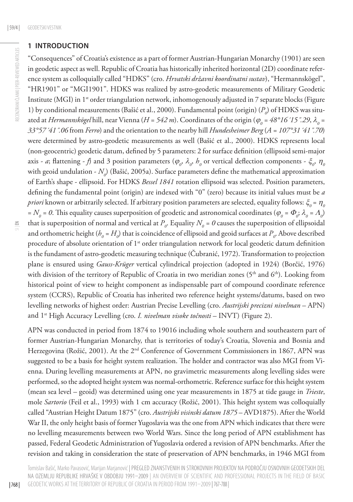## **1 INTRODUCTION**

"Consequences" of Croatia's existence as a part of former Austrian-Hungarian Monarchy (1901) are seen in geodetic aspect as well. Republic of Croatia has historically inherited horizontal (2D) coordinate reference system as colloquially called "HDKS" (cro. *Hrvatski državni koordinatni sustav*), "Hermannskögel", "HR1901" or "MGI1901". HDKS was realized by astro-geodetic measurements of Military Geodetic Institute (MGI) in 1<sup>st</sup> order triangulation network, inhomogenously adjusted in 7 separate blocks (Figure 1) by conditional measurements (Bašić et al., 2000). Fundamental point (origin)  $(P_o)$  of HDKS was situated at *Hermannskögel* hill, near Vienna (*H = 542 m*). Coordinates of the origin ( $\varphi_o$  = 48°16´15".29,  $\lambda_o$  = *33°57´41˝.06* from *Ferro*) and the orientation to the nearby hill *Hundesheimer Berg* (*A = 107°31´41˝.70*) were determined by astro-geodetic measurements as well (Bašić et al., 2000). HDKS represents local (non-geocentric) geodetic datum, defined by 5 parameters: 2 for surface definition (ellipsoid semi-major axis - *a*; flattening -  $f$ ) and 3 position parameters ( $\varphi_o$ ,  $\lambda_o$ ,  $h_o$  or vertical deflection components -  $\xi_o$ ,  $\eta_o$ with geoid undulation *-*  $N_o$ ) (Bašić, 2005a). Surface parameters define the mathematical approximation of Earth's shape - ellipsoid. For HDKS *Bessel 1841* rotation ellipsoid was selected. Position parameters, defining the fundamental point (origin) are indexed with "0" (zero) because its initial values must be *a*   $priori$  known or arbitrarily selected. If arbitrary position parameters are selected, equality follows:  $\xi_o$  =  $\eta_{_G}$ =  $N_o$  = 0. This equality causes superposition of geodetic and astronomical coordinates ( $\varphi_o$  =  $\varPhi_o$ ;  $\lambda_o$  =  $\Lambda_o$ ) that is superposition of normal and vertical at  $P_o$ . Equality  $N_o$  = 0 causes the superposition of ellipsoidal and orthometric height ( $h_o$  =  $H_o$ ) that is coincidence of ellipsoid and geoid surfaces at  $P_o$ . Above described procedure of absolute orientation of 1<sup>st</sup> order triangulation network for local geodetic datum definition is the fundament of astro-geodetic measuring technique (Čubranić, 1972). Transformation to projection plane is ensured using *Gauss-Krüger* vertical cylindrical projection (adopted in 1924) (Borčić, 1976) with division of the territory of Republic of Croatia in two meridian zones  $(5<sup>th</sup>$  and  $6<sup>th</sup>)$ . Looking from historical point of view to height component as indispensable part of compound coordinate reference system (CCRS), Republic of Croatia has inherited two reference height systems/datums, based on two

APN was conducted in period from 1874 to 19016 including whole southern and southeastern part of former Austrian-Hungarian Monarchy, that is territories of today's Croatia, Slovenia and Bosnia and Herzegovina (Rožić, 2001). At the 2nd Conference of Government Commissioners in 1867, APN was suggested to be a basis for height system realization. The holder and contractor was also MGI from Vienna. During levelling measurements at APN, no gravimetric measurements along levelling sides were performed, so the adopted height system was normal-orthometric. Reference surface for this height system (mean sea level – geoid) was determined using one year measurements in 1875 at tide gauge in *Trieste*, mole *Sartorio* (Feil et al., 1993) with 1 cm accuracy (Rožić, 2001). This height system was colloquially called "Austrian Height Datum 1875" (cro. *Austrijski visinski datum 1875* – AVD1875). After the World War II, the only height basis of former Yugoslavia was the one from APN which indicates that there were no levelling measurements between two World Wars. Since the long period of APN establishment has passed, Federal Geodetic Administration of Yugoslavia ordered a revision of APN benchmarks. After the revision and taking in consideration the state of preservation of APN benchmarks, in 1946 MGI from

levelling networks of highest order: Austrian Precise Levelling (cro. *Austrijski precizni nivelman* – APN)

and 1st High Accuracy Levelling (cro. *I. nivelman visoke točnosti* – INVT) (Figure 2).

Tomislav Bašić, Marko Pavasović, Marijan Marjanović | PREGLED ZNANSTVENIH IN STROKOVNIH PROJEKTOV NA PODROČJU OSNOVNIH GEODETSKIH DEL NA OZEMLJU REPUBLIKE HRVAŠKE V OBDOBJU 1991–2009 | AN OVERVIEW OF SCIENTIFIC AND PROFESSIONAL PROJECTS IN THE FIELD OF BASIC GEODETIC WORKS AT THE TERRITORY OF REPUBLIC OF CROATIA IN PERIOD FROM 1991–2009 |767-788 |

| 768 |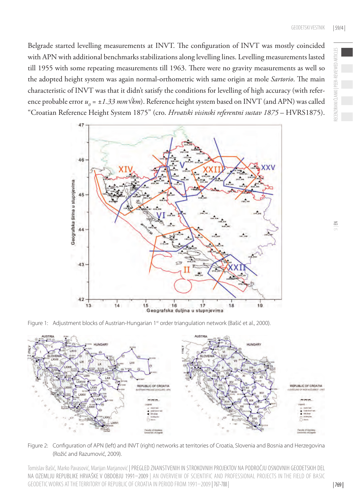Belgrade started levelling measurements at INVT. The configuration of INVT was mostly coincided with APN with additional benchmarks stabilizations along levelling lines. Levelling measurements lasted till 1955 with some repeating measurements till 1963. There were no gravity measurements as well so the adopted height system was again normal-orthometric with same origin at mole *Sartorio*. The main characteristic of INVT was that it didn't satisfy the conditions for levelling of high accuracy (with reference probable error *u<sub>0</sub>* = ±*1.33 mm√km*). Reference height system based on INVT (and APN) was called "Croatian Reference Height System 1875" (cro. *Hrvatski visinski referentni sustav 1875* – HVRS1875).



Figure 1: Adjustment blocks of Austrian-Hungarian 1st order triangulation network (Bašić et al., 2000).



Figure 2: Configuration of APN (left) and INVT (right) networks at territories of Croatia, Slovenia and Bosnia and Herzegovina (Rožić and Razumović, 2009).

Tomislav Bašić, Marko Pavasović, Marijan Marjanović | PREGLED ZNANSTVENIH IN STROKOVNIH PROJEKTOV NA PODROČJU OSNOVNIH GEODETSKIH DEL NA OZEMLJU REPUBLIKE HRVAŠKE V OBDOBJU 1991–2009 | AN OVERVIEW OF SCIENTIFIC AND PROFESSIONAL PROJECTS IN THE FIELD OF BASIC GEODETIC WORKS AT THE TERRITORY OF REPUBLIC OF CROATIA IN PERIOD FROM 1991–2009 |767-788 |

RECENZIRANI ČLANKI | PEER-REVIEWED ARTICLES

ECENZIRANI CL

PEER-REVIEWED ARTICLES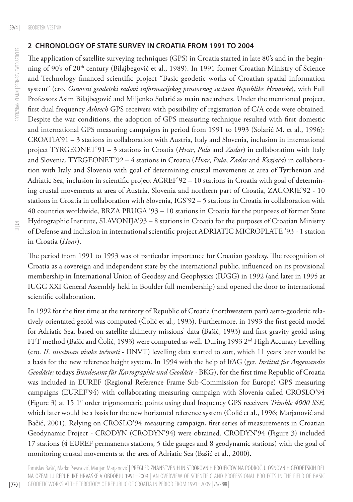### **2 CHRONOLOGY OF STATE SURVEY IN CROATIA FROM 1991 TO 2004**

The application of satellite surveying techniques (GPS) in Croatia started in late 80's and in the beginning of 90's of 20<sup>th</sup> century (Bilajbegović et al., 1989). In 1991 former Croatian Ministry of Science and Technology financed scientific project "Basic geodetic works of Croatian spatial information system" (cro. *Osnovni geodetski radovi informacijskog prostornog sustava Republike Hrvatske*), with Full Professors Asim Bilajbegović and Miljenko Solarić as main researchers. Under the mentioned project, first dual frequency *Ashtech* GPS receivers with possibility of registration of C/A code were obtained. Despite the war conditions, the adoption of GPS measuring technique resulted with first domestic and international GPS measuring campaigns in period from 1991 to 1993 (Solarić M. et al., 1996): CROATIA'91 – 3 stations in collaboration with Austria, Italy and Slovenia, inclusion in international project TYRGEONET'91 – 3 stations in Croatia (*Hvar*, *Pula* and *Zadar*) in collaboration with Italy and Slovenia, TYRGEONET'92 – 4 stations in Croatia (*Hvar*, *Pula*, *Zadar* and *Kozjača*) in collaboration with Italy and Slovenia with goal of determining crustal movements at area of Tyrrhenian and Adriatic Sea, inclusion in scientific project AGREF'92 – 10 stations in Croatia with goal of determining crustal movements at area of Austria, Slovenia and northern part of Croatia, ZAGORJE'92 - 10 stations in Croatia in collaboration with Slovenia, IGS'92 – 5 stations in Croatia in collaboration with 40 countries worldwide, BRZA PRUGA '93 – 10 stations in Croatia for the purposes of former State Hydrographic Institute, SLAVONIJA'93 – 8 stations in Croatia for the purposes of Croatian Ministry of Defense and inclusion in international scientific project ADRIATIC MICROPLATE '93 - 1 station in Croatia (*Hvar*).

The period from 1991 to 1993 was of particular importance for Croatian geodesy. The recognition of Croatia as a sovereign and independent state by the international public, influenced on its provisional membership in International Union of Geodesy and Geophysics (IUGG) in 1992 (and later in 1995 at IUGG XXI General Assembly held in Boulder full membership) and opened the door to international scientific collaboration.

In 1992 for the first time at the territory of Republic of Croatia (northwestern part) astro-geodetic relatively orientated geoid was computed (Čolić et al., 1993). Furthermore, in 1993 the first geoid model for Adriatic Sea, based on satellite altimetry missions' data (Bašić, 1993) and first gravity geoid using FFT method (Bašić and Čolić, 1993) were computed as well. During 1993  $2<sup>nd</sup>$  High Accuracy Levelling (cro. *II. nivelman visoke točnosti* - IINVT) levelling data started to sort, which 11 years later would be a basis for the new reference height system. In 1994 with the help of IfAG (ger. *Institut für Angewandte Geodäsie;* todays *Bundesamt für Kartographie und Geodäsie* - BKG), for the first time Republic of Croatia was included in EUREF (Regional Reference Frame Sub-Commission for Europe) GPS measuring campaigns (EUREF'94) with collaborating measuring campaign with Slovenia called CROSLO'94 (Figure 3) at 15 1<sup>st</sup> order trigonometric points using dual frequency GPS receivers *Trimble 4000 SSE*, which later would be a basis for the new horizontal reference system (Čolić et al., 1996; Marjanović and Bačić, 2001). Relying on CROSLO'94 measuring campaign, first series of measurements in Croatian Geodynamic Project - CRODYN (CRODYN'94) were obtained. CRODYN'94 (Figure 3) included 17 stations (4 EUREF permanents stations, 5 tide gauges and 8 geodynamic stations) with the goal of monitoring crustal movements at the area of Adriatic Sea (Bašić et al., 2000).

Tomislav Bašić, Marko Pavasović, Marijan Marjanović | PREGLED ZNANSTVENIH IN STROKOVNIH PROJEKTOV NA PODROČJU OSNOVNIH GEODETSKIH DEL NA OZEMLJU REPUBLIKE HRVAŠKE V OBDOBJU 1991–2009 | AN OVERVIEW OF SCIENTIFIC AND PROFESSIONAL PROJECTS IN THE FIELD OF BASIC GEODETIC WORKS AT THE TERRITORY OF REPUBLIC OF CROATIA IN PERIOD FROM 1991–2009 |767-788 |

| 770 |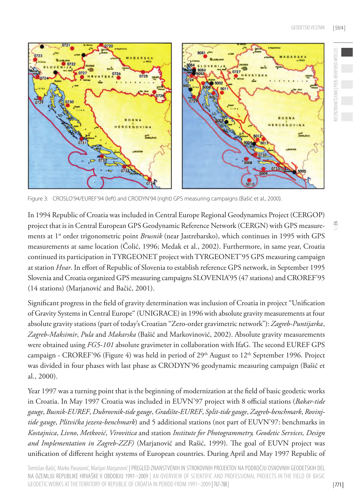

Figure 3: CROSLO'94/EUREF'94 (left) and CRODYN'94 (right) GPS measuring campaigns (Bašić et al., 2000).

In 1994 Republic of Croatia was included in Central Europe Regional Geodynamics Project (CERGOP) project that is in Central European GPS Geodynamic Reference Network (CERGN) with GPS measurements at 1st order trigonometric point *Brusnik* (near Jastrebarsko), which continues in 1995 with GPS measurements at same location (Čolić, 1996; Medak et al., 2002). Furthermore, in same year, Croatia continued its participation in TYRGEONET project with TYRGEONET'95 GPS measuring campaign at station *Hvar*. In effort of Republic of Slovenia to establish reference GPS network, in September 1995 Slovenia and Croatia organized GPS measuring campaigns SLOVENIA'95 (47 stations) and CROREF'95 (14 stations) (Marjanović and Bačić, 2001).

Significant progress in the field of gravity determination was inclusion of Croatia in project "Unification of Gravity Systems in Central Europe" (UNIGRACE) in 1996 with absolute gravity measurements at four absolute gravity stations (part of today's Croatian "Zero-order gravimetric network"): *Zagreb-Puntijarka*, *Zagreb-Maksimir*, *Pula* and *Makarska* (Bašić and Markovinović, 2002). Absolute gravity measurements were obtained using *FG5-101* absolute gravimeter in collaboration with IfaG. The second EUREF GPS campaign - CROREF'96 (Figure 4) was held in period of 29<sup>th</sup> August to 12<sup>th</sup> September 1996. Project was divided in four phases with last phase as CRODYN'96 geodynamic measuring campaign (Bašić et al., 2000).

Year 1997 was a turning point that is the beginning of modernization at the field of basic geodetic works in Croatia. In May 1997 Croatia was included in EUVN'97 project with 8 official stations (*Bakar-tide gauge*, *Busnik-EUREF*, *Dubrovnik-tide gauge*, *Gradište-EUREF*, *Split-tide gauge*, *Zagreb-benchmark*, *Rovinjtide gauge*, *Plitvička jezera-benchmark*) and 5 additional stations (not part of EUVN'97: benchmarks in *Kostajnica*, *Livno*, *Metković*, *Virovitica* and station *Institute for Photogrammetry, Geodetic Services, Design and Implementation in Zagreb-ZZF)* (Marjanović and Rašić, 1999). The goal of EUVN project was unification of different height systems of European countries. During April and May 1997 Republic of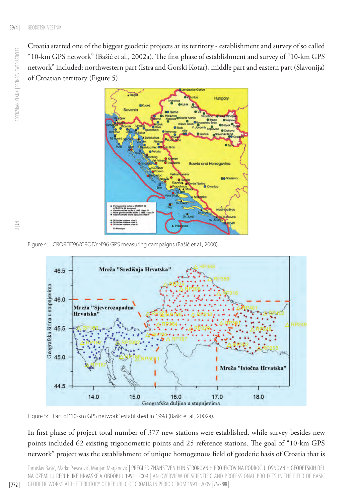RECENZIRANI ČLANKI | PEER-REVIEWED ARTICLES

RECENZIRANI ČLANKI I PEER-REVIEWED ARTICLES

Croatia started one of the biggest geodetic projects at its territory - establishment and survey of so called "10-km GPS network" (Bašić et al., 2002a). The first phase of establishment and survey of "10-km GPS network" included: northwestern part (Istra and Gorski Kotar), middle part and eastern part (Slavonija) of Croatian territory (Figure 5).



Figure 4: CROREF'96/CRODYN'96 GPS measuring campaigns (Bašić et al., 2000).



Figure 5: Part of "10-km GPS network" established in 1998 (Bašić et al., 2002a).

In first phase of project total number of 377 new stations were established, while survey besides new points included 62 existing trigonometric points and 25 reference stations. The goal of "10-km GPS network" project was the establishment of unique homogenous field of geodetic basis of Croatia that is

Tomislav Bašić, Marko Pavasović, Marijan Marjanović | PREGLED ZNANSTVENIH IN STROKOVNIH PROJEKTOV NA PODROČJU OSNOVNIH GEODETSKIH DEL NA OZEMLJU REPUBLIKE HRVAŠKE V OBDOBJU 1991–2009 | AN OVERVIEW OF SCIENTIFIC AND PROFESSIONAL PROJECTS IN THE FIELD OF BASIC GEODETIC WORKS AT THE TERRITORY OF REPUBLIC OF CROATIA IN PERIOD FROM 1991–2009 |767-788 |

 $\leq$ 

| 772 |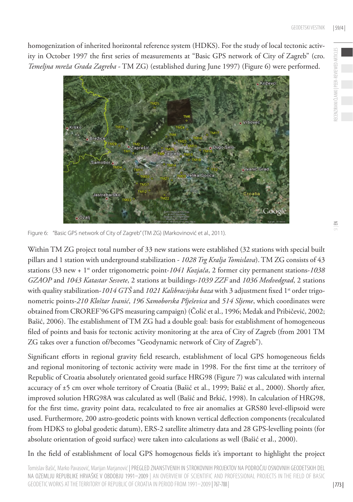

Figure 6: "Basic GPS network of City of Zagreb" (TM ZG) (Markovinović et al., 2011).

Within TM ZG project total number of 33 new stations were established (32 stations with special built pillars and 1 station with underground stabilization - *1028 Trg Kralja Tomislava*). TM ZG consists of 43 stations (33 new + 1st order trigonometric point-*1041 Kozjača*, 2 former city permanent stations-*1038 GZAOP* and *1043 Katastar Sesvete*, 2 stations at buildings-*1039 ZZF* and *1036 Medvedgrad*, 2 stations with quality stabilization-1014 GTŠ and 1021 Kalibracijska baza with 3 adjustment fixed 1<sup>st</sup> order trigonometric points-*210 Kloštar Ivanić*, *196 Samoborska Plješevica* and *514 Sljeme*, which coordinates were obtained from CROREF'96 GPS measuring campaign) (Čolić et al., 1996; Medak and Pribičević, 2002; Bašić, 2006). The establishment of TM ZG had a double goal: basis for establishment of homogeneous filed of points and basis for tectonic activity monitoring at the area of City of Zagreb (from 2001 TM ZG takes over a function of/becomes "Geodynamic network of City of Zagreb").

Significant efforts in regional gravity field research, establishment of local GPS homogeneous fields and regional monitoring of tectonic activity were made in 1998. For the first time at the territory of Republic of Croatia absolutely orientated geoid surface HRG98 (Figure 7) was calculated with internal accuracy of ±5 cm over whole territory of Croatia (Bašić et al., 1999; Bašić et al., 2000). Shortly after, improved solution HRG98A was calculated as well (Bašić and Brkić, 1998). In calculation of HRG98, for the first time, gravity point data, recalculated to free air anomalies at GRS80 level-ellipsoid were used. Furthermore, 200 astro-geodetic points with known vertical deflection components (recalculated from HDKS to global geodetic datum), ERS-2 satellite altimetry data and 28 GPS-levelling points (for absolute orientation of geoid surface) were taken into calculations as well (Bašić et al., 2000).

In the field of establishment of local GPS homogenous fields it's important to highlight the project

Tomislav Bašić, Marko Pavasović, Marijan Marjanović | PREGLED ZNANSTVENIH IN STROKOVNIH PROJEKTOV NA PODROČJU OSNOVNIH GEODETSKIH DEL NA OZEMLJU REPUBLIKE HRVAŠKE V OBDOBJU 1991–2009 | AN OVERVIEW OF SCIENTIFIC AND PROFESSIONAL PROJECTS IN THE FIELD OF BASIC GEODETIC WORKS AT THE TERRITORY OF REPUBLIC OF CROATIA IN PERIOD FROM 1991–2009 |767-788 |

RECENZIRANI ČLANKI | PEER-REVIEWED ARTICLES

ECENZIRANI ČLANKI | PEER-REVIEWED ARTICLES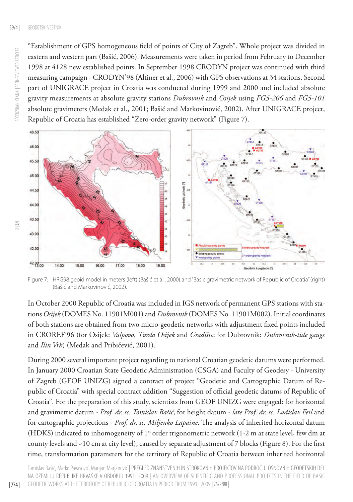"Establishment of GPS homogeneous field of points of City of Zagreb". Whole project was divided in eastern and western part (Bašić, 2006). Measurements were taken in period from February to December 1998 at 4128 new established points. In September 1998 CRODYN project was continued with third measuring campaign - CRODYN'98 (Altiner et al., 2006) with GPS observations at 34 stations. Second part of UNIGRACE project in Croatia was conducted during 1999 and 2000 and included absolute gravity measurements at absolute gravity stations *Dubrovnik* and *Osijek* using *FG5-206* and *FG5-101* absolute gravimeters (Medak et al., 2001; Bašić and Markovinović, 2002). After UNIGRACE project, Republic of Croatia has established "Zero-order gravity network" (Figure 7).



Figure 7: HRG98 geoid model in meters (left) (Bašić et al., 2000) and "Basic gravimetric network of Republic of Croatia" (right) (Bašić and Markovinović, 2002).

In October 2000 Republic of Croatia was included in IGS network of permanent GPS stations with stations *Osijek* (DOMES No. 11901M001) and *Dubrovnik* (DOMES No. 11901M002). Initial coordinates of both stations are obtained from two micro-geodetic networks with adjustment fixed points included in CROREF'96 (for Osijek: *Valpovo*, *Tvrđa Osijek* and *Gradište*; for Dubrovnik: *Dubrovnik-tide gauge* and *Ilin Vrh*) (Medak and Pribičević, 2001).

During 2000 several important project regarding to national Croatian geodetic datums were performed. In January 2000 Croatian State Geodetic Administration (CSGA) and Faculty of Geodesy - University of Zagreb (GEOF UNIZG) signed a contract of project "Geodetic and Cartographic Datum of Republic of Croatia" with special contract addition "Suggestion of official geodetic datums of Republic of Croatia". For the preparation of this study, scientists from GEOF UNIZG were engaged: for horizontal and gravimetric datum - *Prof. dr. sc. Tomislav Bašić*, for height datum - *late Prof. dr. sc. Ladislav Feil* and for cartographic projections - *Prof. dr. sc. Miljenko Lapaine*. The analysis of inherited horizontal datum (HDKS) indicated to inhomogeneity of 1st order trigonometric network (1-2 m at state level, few dm at county levels and ~10 cm at city level), caused by separate adjustment of 7 blocks (Figure 8). For the first time, transformation parameters for the territory of Republic of Croatia between inherited horizontal

| 774 |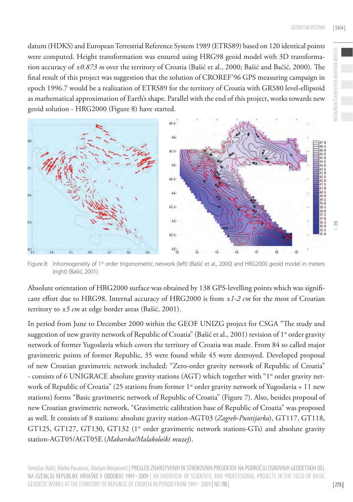**VIEWED** 

datum (HDKS) and European Terrestrial Reference System 1989 (ETRS89) based on 120 identical points were computed. Height transformation was ensured using HRG98 geoid model with 3D transformation accuracy of *±0.873 m* over the territory of Croatia (Bašić et al., 2000; Bašić and Bačić, 2000). The final result of this project was suggestion that the solution of CROREF'96 GPS measuring campaign in epoch 1996.7 would be a realization of ETRS89 for the territory of Croatia with GRS80 level-ellipsoid as mathematical approximation of Earth's shape. Parallel with the end of this project, works towards new geoid solution - HRG2000 (Figure 8) have started.



Figure 8: Inhomogeneity of 1<sup>st</sup> order trigonometric network (left) (Bašić et al., 2000) and HRG2000 geoid model in meters (right) (Bašić, 2001).

Absolute orientation of HRG2000 surface was obtained by 138 GPS-levelling points which was significant effort due to HRG98. Internal accuracy of HRG2000 is from *±1-2 cm* for the most of Croatian territory to *±5 cm* at edge border areas (Bašić, 2001).

In period from June to December 2000 within the GEOF UNIZG project for CSGA "The study and suggestion of new gravity network of Republic of Croatia" (Bašić et al., 2001) revision of 1<sup>st</sup> order gravity network of former Yugoslavia which covers the territory of Croatia was made. From 84 so called major gravimetric points of former Republic, 35 were found while 45 were destroyed. Developed proposal of new Croatian gravimetric network included: "Zero-order gravity network of Republic of Croatia" - consists of 6 UNIGRACE absolute gravity stations (AGT) which together with "1st order gravity network of Republic of Croatia" (25 stations from former 1<sup>st</sup> order gravity network of Yugoslavia + 11 new stations) forms "Basic gravimetric network of Republic of Croatia" (Figure 7). Also, besides proposal of new Croatian gravimetric network, "Gravimetric calibration base of Republic of Croatia" was proposed as well. It consists of 8 stations: absolute gravity station-AGT03 (*Zagreb-Puntijarka*), GT117, GT118, GT125, GT127, GT130, GT132 (1<sup>st</sup> order gravimetric network stations-GTs) and absolute gravity station-AGT05/AGT05E (*Makarska/Malakološki muzej*).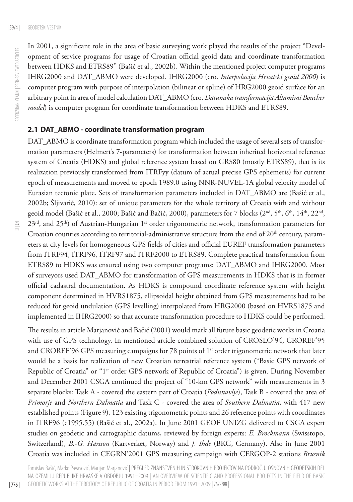In 2001, a significant role in the area of basic surveying work played the results of the project "Development of service programs for usage of Croatian official geoid data and coordinate transformation between HDKS and ETRS89" (Bašić et al., 2002b). Within the mentioned project computer programs IHRG2000 and DAT\_ABMO were developed. IHRG2000 (cro. *Interpolacija Hrvatski geoid 2000*) is computer program with purpose of interpolation (bilinear or spline) of HRG2000 geoid surface for an arbitrary point in area of model calculation DAT\_ABMO (cro. *Datumska transformacija Altamimi Boucher model*) is computer program for coordinate transformation between HDKS and ETRS89.

#### **2.1 DAT\_ABMO - coordinate transformation program**

DAT\_ABMO is coordinate transformation program which included the usage of several sets of transformation parameters (Helmert's 7-parameters) for transformation between inherited horizontal reference system of Croatia (HDKS) and global reference system based on GRS80 (mostly ETRS89), that is its realization previously transformed from ITRFyy (datum of actual precise GPS ephemeris) for current epoch of measurements and moved to epoch 1989.0 using NNR-NUVEL-1A global velocity model of Eurasian tectonic plate. Sets of transformation parameters included in DAT\_ABMO are (Bašić et al., 2002b; Šljivarić, 2010): set of unique parameters for the whole territory of Croatia with and without geoid model (Bašić et al., 2000; Bašić and Bačić, 2000), parameters for 7 blocks (2<sup>nd</sup>, 5<sup>th</sup>, 6<sup>th</sup>, 14<sup>th</sup>, 22<sup>nd</sup>, 23<sup>rd</sup>, and 25<sup>th</sup>) of Austrian-Hungarian 1<sup>st</sup> order trigonometric network, transformation parameters for Croatian counties according to territorial-administrative structure from the end of  $20<sup>th</sup>$  century, parameters at city levels for homogeneous GPS fields of cities and official EUREF transformation parameters from ITRF94, ITRF96, ITRF97 and ITRF2000 to ETRS89. Complete practical transformation from ETRS89 to HDKS was ensured using two computer programs: DAT\_ABMO and IHRG2000. Most of surveyors used DAT\_ABMO for transformation of GPS measurements in HDKS that is in former official cadastral documentation. As HDKS is compound coordinate reference system with height component determined in HVRS1875, ellipsoidal height obtained from GPS measurements had to be reduced for geoid undulation (GPS levelling) interpolated from HRG2000 (based on HVRS1875 and implemented in IHRG2000) so that accurate transformation procedure to HDKS could be performed.

The results in article Marjanović and Bačić (2001) would mark all future basic geodetic works in Croatia with use of GPS technology. In mentioned article combined solution of CROSLO'94, CROREF'95 and CROREF'96 GPS measuring campaigns for 78 points of 1<sup>st</sup> order trigonometric network that later would be a basis for realization of new Croatian terrestrial reference system ("Basic GPS network of Republic of Croatia" or "1<sup>st</sup> order GPS network of Republic of Croatia") is given. During November and December 2001 CSGA continued the project of "10-km GPS network" with measurements in 3 separate blocks: Task A - covered the eastern part of Croatia (*Podunavlje*), Task B - covered the area of *Primorje* and *Northern Dalmatia* and Task C - covered the area of *Southern Dalmatia*, with 417 new established points (Figure 9), 123 existing trigonometric points and 26 reference points with coordinates in ITRF96 (e1995.55) (Bašić et al., 2002a). In June 2001 GEOF UNIZG delivered to CSGA expert studies on geodetic and cartographic datums, reviewed by foreign experts: *E. Brockmann* (Swisstopo, Switzerland), *B.-G. Harsson* (Kartverket, Norway) and *J. Ihde* (BKG, Germany). Also in June 2001 Croatia was included in CEGRN'2001 GPS measuring campaign with CERGOP-2 stations *Brusnik*

Tomislav Bašić, Marko Pavasović, Marijan Marjanović | PREGLED ZNANSTVENIH IN STROKOVNIH PROJEKTOV NA PODROČJU OSNOVNIH GEODETSKIH DEL NA OZEMLJU REPUBLIKE HRVAŠKE V OBDOBJU 1991–2009 | AN OVERVIEW OF SCIENTIFIC AND PROFESSIONAL PROJECTS IN THE FIELD OF BASIC GEODETIC WORKS AT THE TERRITORY OF REPUBLIC OF CROATIA IN PERIOD FROM 1991–2009 |767-788 |

| 776 |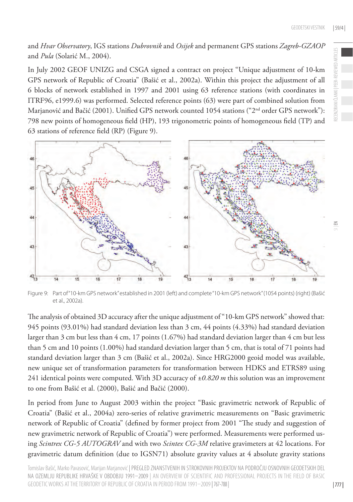RECENZIRANI ČLANKI | PEER-REVIEWED ARTICLES

**IEWED** 

 $\leq$ 

# and *Hvar Observatory*, IGS stations *Dubrovnik* and *Osijek* and permanent GPS stations *Zagreb-GZAOP* and *Pula* (Solarić M., 2004).

In July 2002 GEOF UNIZG and CSGA signed a contract on project "Unique adjustment of 10-km GPS network of Republic of Croatia" (Bašić et al., 2002a). Within this project the adjustment of all 6 blocks of network established in 1997 and 2001 using 63 reference stations (with coordinates in ITRF96, e1999.6) was performed. Selected reference points (63) were part of combined solution from Marjanović and Bačić (2001). Unified GPS network counted 1054 stations ("2<sup>nd</sup> order GPS network"): 798 new points of homogeneous field (HP), 193 trigonometric points of homogeneous field (TP) and 63 stations of reference field (RP) (Figure 9).



Figure 9: Part of "10-km GPS network" established in 2001 (left) and complete "10-km GPS network" (1054 points) (right) (Bašić et al., 2002a).

The analysis of obtained 3D accuracy after the unique adjustment of "10-km GPS network" showed that: 945 points (93.01%) had standard deviation less than 3 cm, 44 points (4.33%) had standard deviation larger than 3 cm but less than 4 cm, 17 points (1.67%) had standard deviation larger than 4 cm but less than 5 cm and 10 points (1.00%) had standard deviation larger than 5 cm, that is total of 71 points had standard deviation larger than 3 cm (Bašić et al., 2002a). Since HRG2000 geoid model was available, new unique set of transformation parameters for transformation between HDKS and ETRS89 using 241 identical points were computed. With 3D accuracy of *±0.820 m* this solution was an improvement to one from Bašić et al. (2000), Bašić and Bačić (2000).

In period from June to August 2003 within the project "Basic gravimetric network of Republic of Croatia" (Bašić et al., 2004a) zero-series of relative gravimetric measurements on "Basic gravimetric network of Republic of Croatia" (defined by former project from 2001 "The study and suggestion of new gravimetric network of Republic of Croatia") were performed. Measurements were performed using *Scintrex CG-5 AUTOGRAV* and with two *Scintex CG-3M* relative gravimeters at 42 locations. For gravimetric datum definition (due to IGSN71) absolute gravity values at 4 absolute gravity stations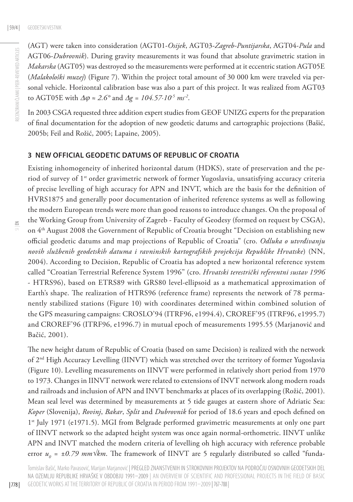(AGT) were taken into consideration (AGT01-*Osijek*, AGT03-*Zagreb-Puntijarska*, AGT04-*Pula* and AGT06-*Dubrovnik*). During gravity measurements it was found that absolute gravimetric station in *Makarska* (AGT05) was destroyed so the measurements were performed at it eccentric station AGT05E (*Malakološki muzej*) (Figure 7). Within the project total amount of 30 000 km were traveled via personal vehicle. Horizontal calibration base was also a part of this project. It was realized from AGT03 to AGT05E with ∆j *≈ 2.6°* and ∆*g = 104.57∙10-5 ms-2*.

In 2003 CSGA requested three addition expert studies from GEOF UNIZG experts for the preparation of final documentation for the adoption of new geodetic datums and cartographic projections (Bašić, 2005b; Feil and Rožić, 2005; Lapaine, 2005).

#### **3 NEW OFFICIAL GEODETIC DATUMS OF REPUBLIC OF CROATIA**

Existing inhomogeneity of inherited horizontal datum (HDKS), state of preservation and the period of survey of 1<sup>st</sup> order gravimetric network of former Yugoslavia, unsatisfying accuracy criteria of precise levelling of high accuracy for APN and INVT, which are the basis for the definition of HVRS1875 and generally poor documentation of inherited reference systems as well as following the modern European trends were more than good reasons to introduce changes. On the proposal of the Working Group from University of Zagreb - Faculty of Geodesy (formed on request by CSGA), on 4th August 2008 the Government of Republic of Croatia brought "Decision on establishing new official geodetic datums and map projections of Republic of Croatia" (cro. *Odluka o utvrđivanju novih službenih geodetskih datuma i ravninskih kartografskih projekcija Republike Hrvatske*) (NN, 2004). According to Decision, Republic of Croatia has adopted a new horizontal reference system called "Croatian Terrestrial Reference System 1996" (cro. *Hrvatski terestrički referentni sustav 1996* - HTRS96), based on ETRS89 with GRS80 level-ellipsoid as a mathematical approximation of Earth's shape. The realization of HTRS96 (reference frame) represents the network of 78 permanently stabilized stations (Figure 10) with coordinates determined within combined solution of the GPS measuring campaigns: CROSLO'94 (ITRF96, e1994.4), CROREF'95 (ITRF96, e1995.7) and CROREF'96 (ITRF96, e1996.7) in mutual epoch of measurements 1995.55 (Marjanović and Bačić, 2001).

The new height datum of Republic of Croatia (based on same Decision) is realized with the network of 2<sup>nd</sup> High Accuracy Levelling (IINVT) which was stretched over the territory of former Yugoslavia (Figure 10). Levelling measurements on IINVT were performed in relatively short period from 1970 to 1973. Changes in IINVT network were related to extensions of INVT network along modern roads and railroads and inclusion of APN and INVT benchmarks at places of its overlapping (Rožić, 2001). Mean seal level was determined by measurements at 5 tide gauges at eastern shore of Adriatic Sea: *Koper* (Slovenija), *Rovinj*, *Bakar*, *Split* and *Dubrovnik* for period of 18.6 years and epoch defined on 1<sup>st</sup> July 1971 (e1971.5). MGI from Belgrade performed gravimetric measurements at only one part of IINVT network so the adapted height system was once again normal-orthometric. IINVT unlike APN and INVT matched the modern criteria of levelling oh high accuracy with reference probable error *u<sub>0</sub>* = ±*0.79 mm√km*. The framework of IINVT are 5 regularly distributed so called "funda-

Tomislav Bašić, Marko Pavasović, Marijan Marjanović | PREGLED ZNANSTVENIH IN STROKOVNIH PROJEKTOV NA PODROČJU OSNOVNIH GEODETSKIH DEL NA OZEMLJU REPUBLIKE HRVAŠKE V OBDOBJU 1991–2009 | AN OVERVIEW OF SCIENTIFIC AND PROFESSIONAL PROJECTS IN THE FIELD OF BASIC GEODETIC WORKS AT THE TERRITORY OF REPUBLIC OF CROATIA IN PERIOD FROM 1991–2009 |767-788 |

| 778 |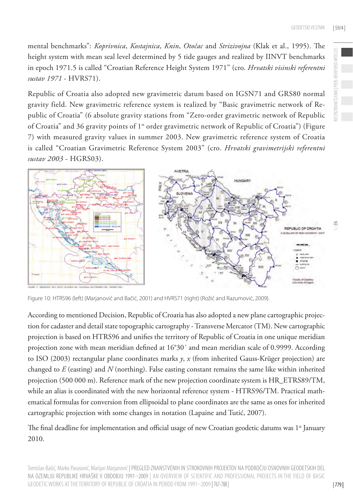mental benchmarks": *Koprivnica*, *Kostajnica*, *Knin*, *Otočac* and *Strizivojna* (Klak et al., 1995). The height system with mean seal level determined by 5 tide gauges and realized by IINVT benchmarks in epoch 1971.5 is called "Croatian Reference Height System 1971" (cro. *Hrvatski visinski referentni sustav 1971* - HVRS71).

Republic of Croatia also adopted new gravimetric datum based on IGSN71 and GRS80 normal gravity field. New gravimetric reference system is realized by "Basic gravimetric network of Republic of Croatia" (6 absolute gravity stations from "Zero-order gravimetric network of Republic of Croatia" and 36 gravity points of 1<sup>st</sup> order gravimetric network of Republic of Croatia") (Figure 7) with measured gravity values in summer 2003. New gravimetric reference system of Croatia is called "Croatian Gravimetric Reference System 2003" (cro. *Hrvatski gravimetrijski referentni sustav 2003* - HGRS03).



Figure 10: HTRS96 (left) (Marjanović and Bačić, 2001) and HVRS71 (right) (Rožić and Razumović, 2009).

According to mentioned Decision, Republic of Croatia has also adopted a new plane cartographic projection for cadaster and detail state topographic cartography - Transverse Mercator (TM). New cartographic projection is based on HTRS96 and unifies the territory of Republic of Croatia in one unique meridian projection zone with mean meridian defined at 16°30´ and mean meridian scale of 0.9999. According to ISO (2003) rectangular plane coordinates marks *y*, *x* (from inherited Gauss-Krüger projection) are changed to *E* (easting) and *N* (northing). False easting constant remains the same like within inherited projection (500 000 m). Reference mark of the new projection coordinate system is HR\_ETRS89/TM, while an alias is coordinated with the new horizontal reference system - HTRS96/TM. Practical mathematical formulas for conversion from ellipsoidal to plane coordinates are the same as ones for inherited cartographic projection with some changes in notation (Lapaine and Tutić, 2007).

The final deadline for implementation and official usage of new Croatian geodetic datums was  $1<sup>st</sup>$  January 2010.

Tomislav Bašić, Marko Pavasović, Marijan Marjanović | PREGLED ZNANSTVENIH IN STROKOVNIH PROJEKTOV NA PODROČJU OSNOVNIH GEODETSKIH DEL NA OZEMLJU REPUBLIKE HRVAŠKE V OBDOBJU 1991–2009 | AN OVERVIEW OF SCIENTIFIC AND PROFESSIONAL PROJECTS IN THE FIELD OF BASIC GEODETIC WORKS AT THE TERRITORY OF REPUBLIC OF CROATIA IN PERIOD FROM 1991–2009 |767-788 |

RECENZIRANI ČLANKI | PEER-REVIEWED ARTICLES

ANKI PEER-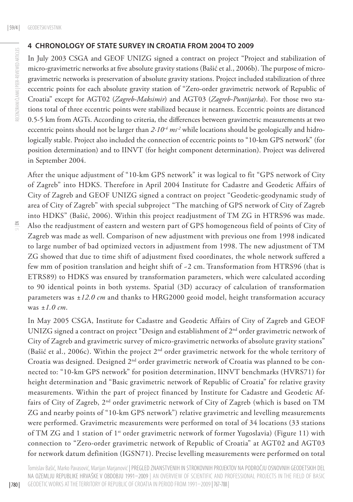#### **4 CHRONOLOGY OF STATE SURVEY IN CROATIA FROM 2004 TO 2009**

In July 2003 CSGA and GEOF UNIZG signed a contract on project "Project and stabilization of micro-gravimetric networks at five absolute gravity stations (Bašić et al., 2006b). The purpose of microgravimetric networks is preservation of absolute gravity stations. Project included stabilization of three eccentric points for each absolute gravity station of "Zero-order gravimetric network of Republic of Croatia" except for AGT02 (*Zagreb-Maksimir*) and AGT03 (*Zagreb-Puntijarka*). For those two stations total of three eccentric points were stabilized because it nearness. Eccentric points are distanced 0.5-5 km from AGTs. According to criteria, the differences between gravimetric measurements at two eccentric points should not be larger than 2*∙10<sup>-4</sup> ms<sup>-2</sup>* while locations should be geologically and hidrologically stable. Project also included the connection of eccentric points to "10-km GPS network" (for position determination) and to IINVT (for height component determination). Project was delivered in September 2004.

After the unique adjustment of "10-km GPS network" it was logical to fit "GPS network of City of Zagreb" into HDKS. Therefore in April 2004 Institute for Cadastre and Geodetic Affairs of City of Zagreb and GEOF UNIZG signed a contract on project "Geodetic-geodynamic study of area of City of Zagreb" with special subproject "The matching of GPS network of City of Zagreb into HDKS" (Bašić, 2006). Within this project readjustment of TM ZG in HTRS96 was made. Also the readjustment of eastern and western part of GPS homogeneous field of points of City of Zagreb was made as well. Comparison of new adjustment with previous one from 1998 indicated to large number of bad optimized vectors in adjustment from 1998. The new adjustment of TM ZG showed that due to time shift of adjustment fixed coordinates, the whole network suffered a few mm of position translation and height shift of -2 cm. Transformation from HTRS96 (that is ETRS89) to HDKS was ensured by transformation parameters, which were calculated according to 90 identical points in both systems. Spatial (3D) accuracy of calculation of transformation parameters was *±12.0 cm* and thanks to HRG2000 geoid model, height transformation accuracy was *±1.0 cm*.

In May 2005 CSGA, Institute for Cadastre and Geodetic Affairs of City of Zagreb and GEOF UNIZG signed a contract on project "Design and establishment of 2<sup>nd</sup> order gravimetric network of City of Zagreb and gravimetric survey of micro-gravimetric networks of absolute gravity stations" (Bašić et al., 2006c). Within the project 2nd order gravimetric network for the whole territory of Croatia was designed. Designed 2<sup>nd</sup> order gravimetric network of Croatia was planned to be connected to: "10-km GPS network" for position determination, IINVT benchmarks (HVRS71) for height determination and "Basic gravimetric network of Republic of Croatia" for relative gravity measurements. Within the part of project financed by Institute for Cadastre and Geodetic Affairs of City of Zagreb, 2<sup>nd</sup> order gravimetric network of City of Zagreb (which is based on TM ZG and nearby points of "10-km GPS network") relative gravimetric and levelling measurements were performed. Gravimetric measurements were performed on total of 34 locations (33 stations of TM ZG and 1 station of 1<sup>st</sup> order gravimetric network of former Yugoslavia) (Figure 11) with connection to "Zero-order gravimetric network of Republic of Croatia" at AGT02 and AGT03 for network datum definition (IGSN71). Precise levelling measurements were performed on total

Tomislav Bašić, Marko Pavasović, Marijan Marjanović | PREGLED ZNANSTVENIH IN STROKOVNIH PROJEKTOV NA PODROČJU OSNOVNIH GEODETSKIH DEL NA OZEMLJU REPUBLIKE HRVAŠKE V OBDOBJU 1991–2009 | AN OVERVIEW OF SCIENTIFIC AND PROFESSIONAL PROJECTS IN THE FIELD OF BASIC GEODETIC WORKS AT THE TERRITORY OF REPUBLIC OF CROATIA IN PERIOD FROM 1991–2009 |767-788 |

| 780 |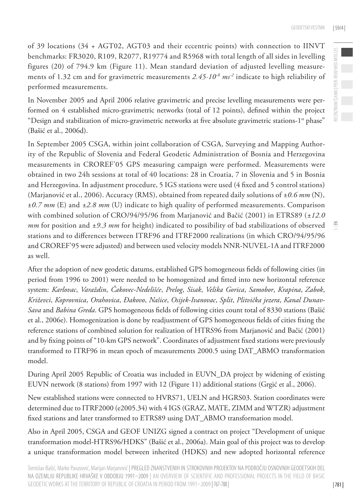of 39 locations (34 + AGT02, AGT03 and their eccentric points) with connection to IINVT benchmarks: FR3020, R109, R2077, R19774 and R5968 with total length of all sides in levelling figures (20) of 794.9 km (Figure 11). Mean standard deviation of adjusted levelling measurements of 1.32 cm and for gravimetric measurements *2.45∙10-8 ms-2* indicate to high reliability of performed measurements.

In November 2005 and April 2006 relative gravimetric and precise levelling measurements were performed on 4 established micro-gravimetric networks (total of 12 points), defined within the project "Design and stabilization of micro-gravimetric networks at five absolute gravimetric stations- $1<sup>st</sup>$  phase" (Bašić et al., 2006d).

In September 2005 CSGA, within joint collaboration of CSGA, Surveying and Mapping Authority of the Republic of Slovenia and Federal Geodetic Administration of Bosnia and Herzegovina measurements in CROREF'05 GPS measuring campaign were performed. Measurements were obtained in two 24h sessions at total of 40 locations: 28 in Croatia, 7 in Slovenia and 5 in Bosnia and Herzegovina. In adjustment procedure, 5 IGS stations were used (4 fixed and 5 control stations) (Marjanović et al., 2006). Accuracy (RMS), obtained from repeated daily solutions of *±0.6 mm* (N), ±*0.7 mm* (E) and *±2.8 mm* (U) indicate to high quality of performed measurements. Comparison with combined solution of CRO/94/95/96 from Marjanović and Bačić (2001) in ETRS89 (*±12.0 mm* for position and *±9.3 mm* for height) indicated to possibility of bad stabilizations of observed stations and to differences between ITRF96 and ITRF2000 realizations (in which CRO/94/95/96 and CROREF'95 were adjusted) and between used velocity models NNR-NUVEL-1A and ITRF2000 as well.

After the adoption of new geodetic datums, established GPS homogeneous fields of following cities (in period from 1996 to 2001) were needed to be homogenized and fitted into new horizontal reference system: *Karlovac*, *Varaždin*, *Čakovec-Nedelišće*, *Prelog*, *Sisak*, *Velika Gorica*, *Samobor*, *Krapina*, *Zabok*, *Križevci*, *Koprovnica*, *Orahovica*, *Đakovo*, *Našice*, *Osijek-Ivanovac*, *Split*, *Plitvička jezera*, *Kanal Dunav-Sava* and *Babina Greda*. GPS homogeneous fields of following cities count total of 8330 stations (Bašić et al., 2006e). Homogenization is done by readjustment of GPS homogeneous fields of cities fixing the reference stations of combined solution for realization of HTRS96 from Marjanović and Bačić (2001) and by fixing points of "10-km GPS network". Coordinates of adjustment fixed stations were previously transformed to ITRF96 in mean epoch of measurements 2000.5 using DAT\_ABMO transformation model.

During April 2005 Republic of Croatia was included in EUVN\_DA project by widening of existing EUVN network (8 stations) from 1997 with 12 (Figure 11) additional stations (Grgić et al., 2006).

New established stations were connected to HVRS71, UELN and HGRS03. Station coordinates were determined due to ITRF2000 (e2005.34) with 4 IGS (GRAZ, MATE, ZIMM and WTZR) adjustment fixed stations and later transformed to ETRS89 using DAT\_ABMO transformation model.

Also in April 2005, CSGA and GEOF UNIZG signed a contract on project "Development of unique transformation model-HTRS96/HDKS" (Bašić et al., 2006a). Main goal of this project was to develop a unique transformation model between inherited (HDKS) and new adopted horizontal reference  $\leq$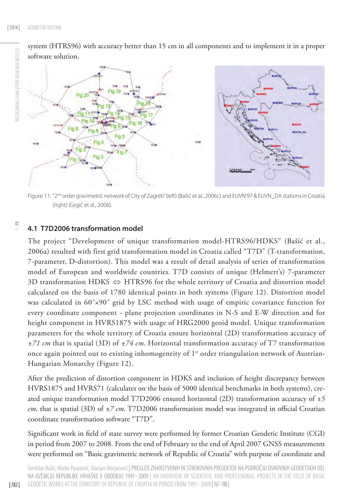RECENZIRANI ČLANKI I PEER-REVIEWED ARTICLES RECENZIRANI ČLANKI | PEER-REVIEWED ARTICLES

system (HTRS96) with accuracy better than 15 cm in all components and to implement it in a proper software solution.



## **4.1 T7D2006 transformation model**

Fig.4 Fig.3

The project "Development of unique transformation model-HTRS96/HDKS" (Bašić et al., 2006a) resulted with first grid transformation model in Croatia called "T7D" (T-transformation, 7-parameter, D-distortion). This model was a result of detail analysis of series of transformation model of European and worldwide countries. T7D consists of unique (Helmert's) 7-parameter 3D transformation HDKS  $\Leftrightarrow$  HTRS96 for the whole territory of Croatia and distortion model calculated on the basis of 1780 identical points in both systems (Figure 12). Distortion model was calculated in 60˝×90˝ grid by LSC method with usage of empiric covariance function for every coordinate component - plane projection coordinates in N-S and E-W direction and for height component in HVRS1875 with usage of HRG2000 geoid model. Unique transformation parameters for the whole territory of Croatia ensure horizontal (2D) transformation accuracy of *±71 cm* that is spatial (3D) of *±74 cm*. Horizontal transformation accuracy of T7 transformation once again pointed out to existing inhomogeneity of  $1<sup>st</sup>$  order triangulation network of Austrian-Hungarian Monarchy (Figure 12).

After the prediction of distortion component in HDKS and inclusion of height discrepancy between HVRS1875 and HVRS71 (calculates on the basis of 5000 identical benchmarks in both systems), created unique transformation model T7D2006 ensured horizontal (2D) transformation accuracy of *±5 cm*, that is spatial (3D) of *±7 cm*. T7D2006 transformation model was integrated in official Croatian coordinate transformation software "T7D".

Significant work in field of state survey were performed by former Croatian Geodetic Institute (CGI) in period from 2007 to 2008. From the end of February to the end of April 2007 GNSS measurements were performed on "Basic gravimetric network of Republic of Croatia" with purpose of coordinate and

| 782 |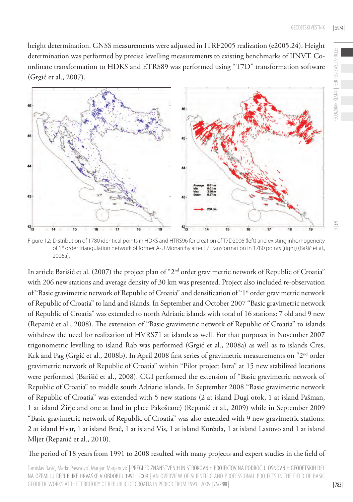RECENZIRANI ČLANKI | PEER-REVIEWED ARTICLES

 $\leq$ 

height determination. GNSS measurements were adjusted in ITRF2005 realization (e2005.24). Height determination was performed by precise levelling measurements to existing benchmarks of IINVT. Coordinate transformation to HDKS and ETRS89 was performed using "T7D" transformation software (Grgić et al., 2007).



Figure 12: Distribution of 1780 identical points in HDKS and HTRS96 for creation of T7D2006 (left) and existing inhomogeneity of 1st order triangulation network of former A-U Monarchy after T7 transformation in 1780 points (right) (Bašić et al., 2006a).

In article Barišić et al. (2007) the project plan of "2nd order gravimetric network of Republic of Croatia" with 206 new stations and average density of 30 km was presented. Project also included re-observation of "Basic gravimetric network of Republic of Croatia" and densification of "1<sup>st</sup> order gravimetric network of Republic of Croatia" to land and islands. In September and October 2007 "Basic gravimetric network of Republic of Croatia" was extended to north Adriatic islands with total of 16 stations: 7 old and 9 new (Repanić et al., 2008). The extension of "Basic gravimetric network of Republic of Croatia" to islands withdrew the need for realization of HVRS71 at islands as well. For that purposes in November 2007 trigonometric levelling to island Rab was performed (Grgić et al., 2008a) as well as to islands Cres, Krk and Pag (Grgić et al., 2008b). In April 2008 first series of gravimetric measurements on "2nd order gravimetric network of Republic of Croatia" within "Pilot project Istra" at 15 new stabilized locations were performed (Barišić et al., 2008). CGI performed the extension of "Basic gravimetric network of Republic of Croatia" to middle south Adriatic islands. In September 2008 "Basic gravimetric network of Republic of Croatia" was extended with 5 new stations (2 at island Dugi otok, 1 at island Pašman, 1 at island Žirje and one at land in place Pakoštane) (Repanić et al., 2009) while in September 2009 "Basic gravimetric network of Republic of Croatia" was also extended with 9 new gravimetric stations: 2 at island Hvar, 1 at island Brač, 1 at island Vis, 1 at island Korčula, 1 at island Lastovo and 1 at island Mljet (Repanić et al., 2010).

The period of 18 years from 1991 to 2008 resulted with many projects and expert studies in the field of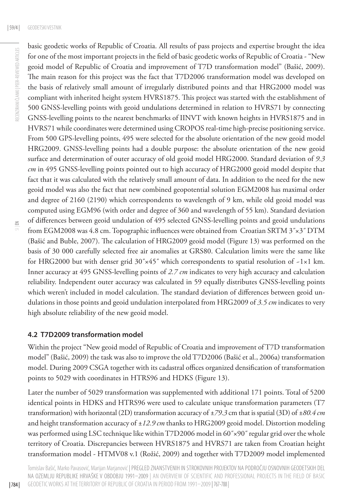$\leq$ 

basic geodetic works of Republic of Croatia. All results of pass projects and expertise brought the idea for one of the most important projects in the field of basic geodetic works of Republic of Croatia - "New geoid model of Republic of Croatia and improvement of T7D transformation model" (Bašić, 2009). The main reason for this project was the fact that T7D2006 transformation model was developed on the basis of relatively small amount of irregularly distributed points and that HRG2000 model was compliant with inherited height system HVRS1875. This project was started with the establishment of 500 GNSS-levelling points with geoid undulations determined in relation to HVRS71 by connecting GNSS-levelling points to the nearest benchmarks of IINVT with known heights in HVRS1875 and in HVRS71 while coordinates were determined using CROPOS real-time high-precise positioning service. From 500 GPS-levelling points, 495 were selected for the absolute orientation of the new geoid model HRG2009. GNSS-levelling points had a double purpose: the absolute orientation of the new geoid surface and determination of outer accuracy of old geoid model HRG2000. Standard deviation of *9.3 cm* in 495 GNSS-levelling points pointed out to high accuracy of HRG2000 geoid model despite that fact that it was calculated with the relatively small amount of data. In addition to the need for the new geoid model was also the fact that new combined geopotential solution EGM2008 has maximal order and degree of 2160 (2190) which correspondents to wavelength of 9 km, while old geoid model was computed using EGM96 (with order and degree of 360 and wavelength of 55 km). Standard deviation of differences between geoid undulation of 495 selected GNSS-levelling points and geoid undulations from EGM2008 was 4.8 cm. Topographic influences were obtained from Croatian SRTM 3"x3" DTM (Bašić and Buble, 2007). The calculation of HRG2009 geoid model (Figure 13) was performed on the basis of 30 000 carefully selected free air anomalies at GRS80. Calculation limits were the same like for HRG2000 but with denser grid  $30'' \times 45''$  which correspondents to spatial resolution of  $-1 \times 1$  km. Inner accuracy at 495 GNSS-levelling points of *2.7 cm* indicates to very high accuracy and calculation reliability. Independent outer accuracy was calculated in 59 equally distributes GNSS-levelling points which weren't included in model calculation. The standard deviation of differences between geoid undulations in those points and geoid undulation interpolated from HRG2009 of *3.5 cm* indicates to very high absolute reliability of the new geoid model.

### **4.2 T7D2009 transformation model**

Within the project "New geoid model of Republic of Croatia and improvement of T7D transformation model" (Bašić, 2009) the task was also to improve the old T7D2006 (Bašić et al., 2006a) transformation model. During 2009 CSGA together with its cadastral offices organized densification of transformation points to 5029 with coordinates in HTRS96 and HDKS (Figure 13).

Later the number of 5029 transformation was supplemented with additional 171 points. Total of 5200 identical points in HDKS and HTRS96 were used to calculate unique transformation parameters (T7 transformation) with horizontal (2D) transformation accuracy of *±79.3* cm that is spatial (3D) of *±80.4 cm* and height transformation accuracy of *±12.9 cm* thanks to HRG2009 geoid model. Distortion modeling was performed using LSC technique like within T7D2006 model in 60˝×90˝ regular grid over the whole territory of Croatia. Discrepancies between HVRS1875 and HVRS71 are taken from Croatian height transformation model - HTMV08 v.1 (Rožić, 2009) and together with T7D2009 model implemented

Tomislav Bašić, Marko Pavasović, Marijan Marjanović | PREGLED ZNANSTVENIH IN STROKOVNIH PROJEKTOV NA PODROČJU OSNOVNIH GEODETSKIH DEL NA OZEMLJU REPUBLIKE HRVAŠKE V OBDOBJU 1991–2009 | AN OVERVIEW OF SCIENTIFIC AND PROFESSIONAL PROJECTS IN THE FIELD OF BASIC GEODETIC WORKS AT THE TERRITORY OF REPUBLIC OF CROATIA IN PERIOD FROM 1991–2009 |767-788 |

| 784 |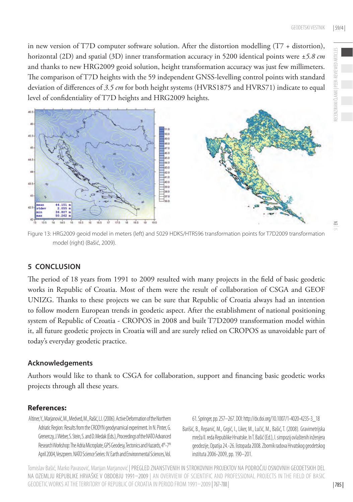RECENZIRANI ČLANKI | PEER-REVIEWED ARTICLES

CENZIRANI ČLANKI | PEER-REVIEWED

in new version of T7D computer software solution. After the distortion modelling (T7 + distortion), horizontal (2D) and spatial (3D) inner transformation accuracy in 5200 identical points were *±5.8 cm* and thanks to new HRG2009 geoid solution, height transformation accuracy was just few millimeters. The comparison of T7D heights with the 59 independent GNSS-levelling control points with standard deviation of differences of *3.5 cm* for both height systems (HVRS1875 and HVRS71) indicate to equal level of confidentiality of T7D heights and HRG2009 heights.



Figure 13: HRG2009 geoid model in meters (left) and 5029 HDKS/HTRS96 transformation points for T7D2009 transformation model (right) (Bašić, 2009).

# **5 CONCLUSION**

The period of 18 years from 1991 to 2009 resulted with many projects in the field of basic geodetic works in Republic of Croatia. Most of them were the result of collaboration of CSGA and GEOF UNIZG. Thanks to these projects we can be sure that Republic of Croatia always had an intention to follow modern European trends in geodetic aspect. After the establishment of national positioning system of Republic of Croatia - CROPOS in 2008 and built T7D2009 transformation model within it, all future geodetic projects in Croatia will and are surely relied on CROPOS as unavoidable part of today's everyday geodetic practice.

## **Acknowledgements**

Authors would like to thank to CSGA for collaboration, support and financing basic geodetic works projects through all these years.

## **References:**

Altiner, Y., Marjanović, M., Medved, M., Rašić, LJ. (2006). Active Deformation of the Northern Adriatic Region: Results from the CRODYN geodynamical experiment. In N. Pinter, G. Grenerczy, J. Weber, S. Stein, S. and D. Medak (Eds.), Proceedings of the NATO Advanced Research Workshop: The Adria Microplate, GPS Geodesy, Tectonics and Hazards, 4th-7th April 2004, Veszprem. NATO Science Series: IV. Earth and Environmental Sciences, Vol.

61. Springer, pp. 257–267. DOI: [http://dx.doi.org/10.1007/1-4020-4235-3\\_18](http://dx.doi.org/10.1007/1-4020-4235-3_18) 

Barišić, B., Repanić, M., Grgić, I., Liker, M., Lučić, M., Bašić, T. (2008). Gravimetrijska mreža II. reda Republike Hrvatske. In T. Bašić (Ed.), I. simpozij ovlaštenih inženjera geodezije, Opatija 24.-26. listopada 2008. Zbornik radova Hrvatskog geodetskog instituta 2006-2009, pp. 190–201.

Tomislav Bašić, Marko Pavasović, Marijan Marjanović | PREGLED ZNANSTVENIH IN STROKOVNIH PROJEKTOV NA PODROČJU OSNOVNIH GEODETSKIH DEL NA OZEMLJU REPUBLIKE HRVAŠKE V OBDOBJU 1991–2009 | AN OVERVIEW OF SCIENTIFIC AND PROFESSIONAL PROJECTS IN THE FIELD OF BASIC GEODETIC WORKS AT THE TERRITORY OF REPUBLIC OF CROATIA IN PERIOD FROM 1991–2009 |767-788 |

 $\geq$ 

| 785 |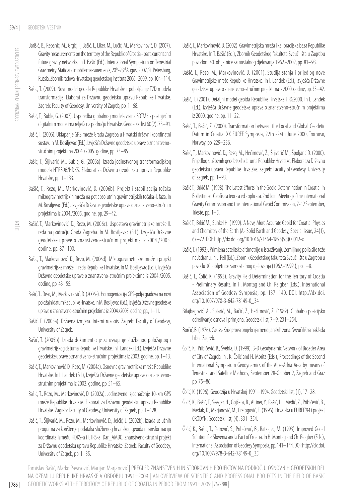- Barišić, B., Repanić, M., Grgić, I., Bašić, T., Liker, M., Lučić, M., Markovinović, D. (2007). Gravity measurements on the territory of the Republic of Croatia - past, current and future gravity networks. In T. Bašić (Ed.), International Symposium on Terrestrial Gravimetry: Static and mobile measurements, 20<sup>th</sup>-23<sup>rd</sup> August 2007, St. Petersburg, Russia. Zbornik radova Hrvatskog geodetskog instituta 2006.-2009, pp. 104–114.
- RECENZIRANI ČLANKI I PEER-REVIEWED ARTICLES RECENZIRANI ČLANKI | PEER-REVIEWED ARTICLES
	- Bašić, T. (2009). Novi model geoida Republike Hrvatske i poboljšanje T7D modela transformacije. Elaborat za Državnu geodetsku upravu Republike Hrvatske. Zagreb: Faculty of Geodesy, University of Zagreb, pp. 1–68.
	- Bašić, T., Buble, G. (2007). Usporedba globalnog modela visina SRTM3 s postojećim digitalnim modelima reljefa na području Hrvatske. Geodetski list 60(2), 73–91.
	- Bašić, T. (2006). Uklapanje GPS mreže Grada Zagreba u Hrvatski državni koordinatni sustav. In M. Bosiljevac (Ed.), Izvješća Državne geodetske uprave o znanstvenostručnim projektima 2004./2005. godine, pp. 73–85.
	- Bašić, T., Šljivarić, M., Buble, G. (2006a). Izrada jedinstvenog transformacijskog modela HTRS96/HDKS. Elaborat za Državnu geodetsku upravu Republike Hrvatske, pp. 1-133.
	- Bašić, T., Rezo, M., Markovinović, D. (2006b). Projekt i stabilizacija točaka mikrogravimetrijskih mreža na pet apsolutnih gravimetrijskih točaka-I. faza. In M. Bosiljevac (Ed.), Izvješća Državne geodetske uprave o znanstveno-stručnim projektima iz 2004./2005. godine, pp. 29–42.

- Bašić, T., Markovinović, D., Rezo, M. (2006c). Uspostava gravimetrijske mreže II. reda na području Grada Zagreba. In M. Bosiljevac (Ed.), Izvješća Državne geodetske uprave o znanstveno-stručnim projektima iz 2004./2005. godine, pp. 87–100.
- Bašić, T., Markovinović, D., Rezo, M. (2006d). Mikrogravimetrijske mreže i projekt gravimetrijske mreže II. reda Republike Hrvatske. In M. Bosiljevac (Ed.), Izvješća Državne geodetske uprave o znanstveno-stručnim projektima iz 2004./2005. godine, pp. 43–55.
- Bašić, T., Rezo, M., Markovinović, D. (2006e). Homogenizacija GPS-polja gradova na novi položajni datum Republike Hrvatske. In M. Bosiljevac (Ed.), Izvješća Državne geodetske uprave o znanstveno-stručnim projektima iz 2004./2005. godine, pp., 1–11.
- Bašić, T. (2005a). Državna izmjera. Interni rukopis. Zagreb: Faculty of Geodesy, University of Zagreb.
- Bašić, T. (2005b). Izrada dokumentacije za usvajanje službenog položajnog i gravimetrijskog datuma Republike Hrvatske. In I. Landek (Ed.), Izvješća Državne geodetske uprave o znanstveno-stručnim projektima iz 2003. godine, pp. 1–13.
- Bašić, T., Markovinović, D., Rezo, M. (2004a). Osnovna gravimetrijska mreža Republike Hrvatske. In I. Landek (Ed.), Izvješća Državne geodetske uprave o znanstvenostručnim projektima iz 2002. godine, pp. 51–65.
- Bašić, T., Rezo, M., Markovinović, D. (2002a). Jedinstveno izjednačenje 10-km GPS mreže Republike Hrvatske. Elaborat za Državnu geodetsku upravu Republike Hrvatske. Zagreb: Faculty of Geodesy, University of Zagreb, pp. 1–128.
- Bašić, T., Šljivarić, M., Rezo, M., Markovinović, D., Jelčić, J. (2002b). Izrada uslužnih programa za korištenje podataka službenog hrvatskog geoida i transformaciju koordinata između HDKS-a i ETRS-a. Dar\_AMBO. Znanstveno-stručni projekt za Državnu geodetsku upravu Republike Hrvatske. Zagreb: Faculty of Geodesy, University of Zagreb, pp. 1–35.
- Bašić, T., Markovinović, D. (2002). Gravimetrijska mreža i kalibracijska baza Republike Hrvatske. In T. Bašić (Ed.), Zbornik Geodetskog fakulteta Sveučilišta u Zagrebu povodom 40. obljetnice samostalnog djelovanja 1962.-2002, pp. 81–93.
- Bašić, T., Rezo, M., Markovinović, D. (2001). Studija stanja i prijedlog nove Gravimetrijske mreže Republike Hrvatske. In I. Landek (Ed.), Izvješća Državne geodetske uprave o znanstveno-stručnim projektima iz 2000. godine, pp. 33–42.
- Bašić, T. (2001). Detaljni model geoida Republike Hrvatske HRG2000. In I. Landek (Ed.), Izvješća Državne geodetske uprave o znanstveno-stručnim projektima iz 2000. godine, pp. 11–22.
- Bašić, T., Bačić, Ž. (2000). Transformation between the Local and Global Geodetic Datum in Croatia. XX EUREF Symposia, 22th -24th June 2000, Tromoso, Norway. pp. 229–236.
- Bašić, T., Markovinović, D., Rezo, M., Hećimović, Ž., Šljivarić M., Špoljarić D. (2000). Prijedlog službenih geodetskih datuma Republike Hrvatske. Elaborat za Državnu geodetsku upravu Republike Hrvatske. Zagreb: Faculty of Geodesy, University of Zagreb, pp. 1–93.
- Bašić T., Brkić M. (1998). The Latest Efforts in the Geoid Determination in Croatia. In Bollettino di Geofisica teorica ed applicata. 2nd Joint Meeting of the International Gravity Commission and the International Geoid Commission, 7-12September, Trieste, pp. 1–5.
- Bašić T., Brkić M., Sünkel H. (1999). A New, More Accurate Geoid for Croatia. Physics and Chemistry of the Earth (A- Solid Earth and Geodesy, Special Issue, 24(1), 67–72. DOI: [http://dx.doi.org/10.1016/s1464-1895\(98\)00012-x](http://dx.doi.org/10.1016/s1464-1895%2898%2900012-x)
- Bašić, T. (1993). Primjena satelitske altimetrije u istraživanju Zemljinog polja sile teže na Jadranu. In L. Feil (Ed.), Zbornik Geodetskog fakulteta Sveučilišta u Zagrebu u povodu 30. obljetnice samostalnog djelovanja (1962.-1992.), pp.1–8.
- Bašić, T., Čolić, K. (1993). Gravity Field Determination for the Territory of Croatia - Preliminary Results. In H. Montag and Ch. Reigber (Eds.), International Association of Geodesy Symposia, pp. 137–140. DOI: http://dx.doi. org/10.1007/978-3-642-78149-0\_34
- Bilajbegović, A., Solarić, M., Bačić, Ž., Hećimović, Ž. (1989). Globalno pozicijsko određivanje osnova i primjena. Geodetski list, 7–9, 231–254.
- Borčić, B. (1976). Gauss-Krügerova projekcija meridijanskih zona. Sveučilišna naklada Liber. Zagreb.
- Čolić, K., Pribičević, B., Švehla, D. (1999). 3-D Geodynamic Network of Broader Area of City of Zagreb. In . K. Čolić and H. Moritz (Eds.), Proceedings of the Second International Symposium Geodynamics of the Alps-Adria Area by means of Terrestrial and Satellite Methods, September 28-October 2, Zagreb and Graz pp. 75–86.
- Čolić, K. (1996). Geodezija u Hrvatskoj 1991–1994. Geodetski list, (1), 17–28.
- Čolić, K., Bašić, T., Seeger, H., Gojčeta, B., Altiner, Y., Rašić, LJ., Medić, Z., Pribičević, B., Medak, D., Marjanović, M., Prelogović, E. (1996). Hrvatska u EUREF'94 i projekt CRODYN. Geodetski list, (4), 331–354.
- Čolić, K., Bašić, T., Petrović, S., Pribičević, B., Ratkajec, M. (1993). Improved Geoid Solution for Slovenia and a Part of Croatia. In H. Montag and Ch. Reigber (Eds.), International Association of Geodesy Symposia, pp. 141–144. DOI: [http://dx.doi.](http://dx.doi.org/10.1007/978-3-642-78149-0_35) [org/10.1007/978-3-642-78149-0\\_35](http://dx.doi.org/10.1007/978-3-642-78149-0_35)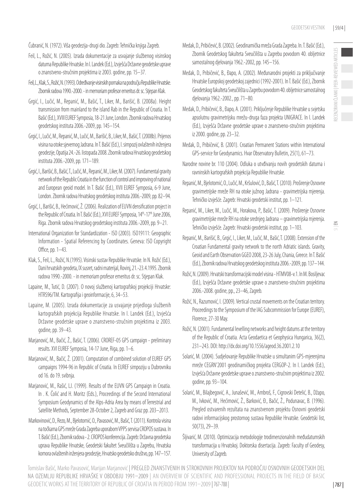$\leq$ 

Čubranić, N. (1972). Viša geodezija-drugi dio. Zagreb: Tehnička knjiga Zagreb.

- Feil, L., Rožić, N. (2005). Izrada dokumentacije za usvajanje službenog visinskog datuma Republike Hrvatske. In I. Landek (Ed.), Izvješća Državne geodetske uprave o znanstveno-stručnim projektima iz 2003. godine, pp. 15–37.
- Feil, L., Klak, S., Rožić, N. (1993). Određivanje visinskih pomaka na području Republike Hrvatske. Zbornik radova 1990.-2000. - in memoriam profesor emeritus dr. sc. Stjepan Klak.
- Grgić, I., Lučić, M., Repanić, M., Bašić, T., Liker, M., Barišić, B. (2008a). Height transmission from mainland to the island Rab in the Republic of Croatia. In T. Bašić (Ed.), XVIII EUREF Symposia, 18-21 June, London. Zbornik radova Hrvatskog geodetskog instituta 2006.-2009, pp. 145–154.
- Grgić, I., Lučić, M., Repanić, M., Lučić, M., Barišić, B., Liker, M., Bašić, T. (2008b). Prijenos visina na otoke sjevernog Jadrana. In T. Bašić (Ed.), I. simpozij ovlaštenih inženjera geodezije, Opatija 24.-26. listopada 2008. Zbornik radova Hrvatskog geodetskog instituta 2006.-2009, pp. 171–189.
- Grgić, I., Barišić, B., Bašić, T., Lučić, M., Repanić, M., Liker, M. (2007). Fundamental gravity network of the Republic Croatia in the function of control and improving of national and European geoid model. In T. Bašić (Ed.), XVII EUREF Symposia, 6-9 June, London. Zbornik radova Hrvatskog geodetskog instituta 2006.-2009, pp. 82–94.
- Grgić, I., Barišić, B., Hećimović, Ž. (2006). Realization of EUVN densification project in the Republic of Croatia. In T. Bašić (Ed.), XVI EUREF Symposia, 14<sup>th</sup>-17<sup>th</sup> June 2006, Riga. Zbornik radova Hrvatskog geodetskog instituta 2006.-2009, pp. 9–21.
- International Organization for Standardization ISO (2003). ISO19111: Geographic Information - Spatial Referencing by Coordinates. Geneva: ISO Copyright Office, pp. 1–43.
- Klak, S., Feil, L., Rožić, N.(1995). Visinski sustav Republike Hrvatske. In N. Rožić (Ed.), Dani hrvatskih geodeta, IX susret, radni materijal, Rovinj, 21.-23.4.1995. Zbornik radova 1990.-2000. - in memoriam profesor emeritus dr. sc. Stjepan Klak.
- Lapaine, M., Tutić, D. (2007). O novoj službenoj kartografskoj projekciji Hrvatske: HTRS96/TM. Kartografija i geoinformacije, 6, 34–53.
- Lapaine, M. (2005). Izrada dokumentacije za usvajanje prijedloga službenih kartografskih projekcija Republike Hrvatske. In I. Landek (Ed.), Izvješća Državne geodetske uprave o znanstveno-stručnim projektima iz 2003. godine, pp. 39–43.
- Marjanović, M., Bačić, Ž., Bašić, T. (2006). CROREF-05 GPS campaign preliminary results. XVI EUREF Symposia, 14-17 June, Riga, pp. 1–6.
- Marjanović, M., Bačić, Ž. (2001). Computation of combined solution of EUREF GPS campaigns 1994-96 in Republic of Croatia. In EUREF simpoziju u Dubrovniku od 16. do 19. svibnja.
- Marjanović, M., Rašić, LJ. (1999). Results of the EUVN GPS Campaign in Croatia. In . K. Čolić and H. Moritz (Eds.), Proceedings of the Second International Symposium Geodynamics of the Alps-Adria Area by means of Terrestrial and Satellite Methods, September 28-October 2, Zagreb and Graz pp. 203–2013.
- Markovinović, D., Rezo, M., Bjelotomić, O., Pavasović, M., Bašić, T. (2011). Kontrola visina na točkama GPS mreže Grada Zagreba uporabom VPPS servisa CROPOS sustava. In T. Bašić (Ed.), Zbornik radova - 2. CROPOS konferencija. Zagreb: Državna geodetska uprava Republike Hrvatske, Geodetski fakultet Sveučilišta u Zagrebu, Hrvatska komora ovlaštenih inženjera geodezije, Hrvatsko geodetsko društvo, pp. 147–157.
- Medak, D., Pribičević, B. (2002). Geodinamička mreža Grada Zagreba. In. T. Bašić (Ed.), Zbornik Geodetskog fakulteta Sveučilišta u Zagrebu povodom 40. obljetnice samostalnog djelovanja 1962.-2002, pp. 145–156.
- Medak, D., Pribičević, B., Đapo, A. (2002). Međunarodni projekti za priključivanje Hrvatske Europskoj geodetskoj zajednici (1992-2001). In T. Bašić (Ed.), Zbornik Geodetskog fakulteta Sveučilišta u Zagrebu povodom 40. obljetnice samostalnog djelovanja 1962.-2002., pp. 71–80.
- Medak, D., Pribičević, B., Đapo, A. (2001). Priključenje Republike Hrvatske u svjetsku apsolutnu gravimetrijsku mrežu-druga faza projekta UNIGRACE. In I. Landek (Ed.), Izvješća Državne geodetske uprave o znanstveno-stručnim projektima iz 2000. godine, pp. 23–32.
- Medak, D., Pribičević, B. (2001). Croatian Permanent Stations within International GPS-service for Geodynamics. Hvar Observatory Bulletin, 25(1), 61–73.
- Narodne novine br. 110 (2004). Odluka o utvđivanju novih geodetskih datuma i ravninskih kartografskih projekcija Republike Hrvatske.
- Repanić, M., Bjelotomić, O., Lučić, M., Kršulović, D., Bašić, T. (2010). Proširenje Osnovne gravimetrijske mreže RH na otoke južnog Jadrana - gravimetrijska mjerenja. Tehničko izvješće. Zagreb: Hrvatski geodetski institut, pp. 1–121.
- Repanić, M., Liker, M., Lučić, M., Horakova, P., Bašić, T. (2009). Proširenje Osnovne gravimetrijske mreže RH na otoke srednjeg Jadrana – gravimetrijska mjerenja. Tehničko izvješće. Zagreb: Hrvatski geodetski institut, pp. 1–103.
- Repanić, M., Barišić, B., Grgić, I., Liker, M., Lučić, M., Bašić, T. (2008). Extension of the Croatian Fundamental gravity network to the north Adriatic islands. Gravity, Geoid and Earth Observation GGEO 2008, 23-26 July, Chania, Greece. In T. Bašić (Ed.), Zbornik radova Hrvatskog geodetskog instituta 2006.-2009, pp. 137–144.
- Rožić, N. (2009). Hrvatski transformacijski model visina HTMV08-v.1. In M. Bosiljevac (Ed.), Izvješća Državne geodetske uprave o znanstveno-stručnim projektima 2006.-2008. godine, pp., 23–46, Zagreb.
- Rožić, N., Razumović, I. (2009). Vertical crustal movements on the Croatian territory. Proceedings to the Symposium of the IAG Subcommission for Europe (EUREF), Florence, 27-30 May.
- Rožić, N. (2001). Fundamental levelling networks and height datums at the territory of the Republic of Croatia. Acta Geodaetica et Geophysica Hungarica, 36(2), 231–243. DOI: <http://dx.doi.org/10.1556/ageod.36.2001.2.10>
- Solarić, M. (2004). Sudjelovanje Republike Hrvatske u simultanim GPS-mjerenjima mreže CEGRN'2001 geodinamičkog projekta CERGOP-2. In I. Landek (Ed.), Izvješća Državne geodetske uprave o znanstveno-stručnim projektima iz 2002. godine, pp. 93–104.
- Solarić, M., Bilajbegović, A., Junašević, M., Ambroš, F., Cigrovski Detelić, B., Džapo, M., Ivković, M., Hećimović, Ž., Barković, Đ., Bačić, Ž., Podunavac, B. (1996). Pregled ostvarenih rezultata na znanstvenom projektu Osnovni geodetski radovi informacijskog prostornog sustava Republike Hrvatske. Geodetski list, 50(73), 29–39.
- Šljivarić, M. (2010). Optimizacija metodologije trodimenzionalnih međudatumskih transformacija u Hrvatskoj. Doktorska disertacija. Zagreb: Faculty of Geodesy, University of Zagreb.